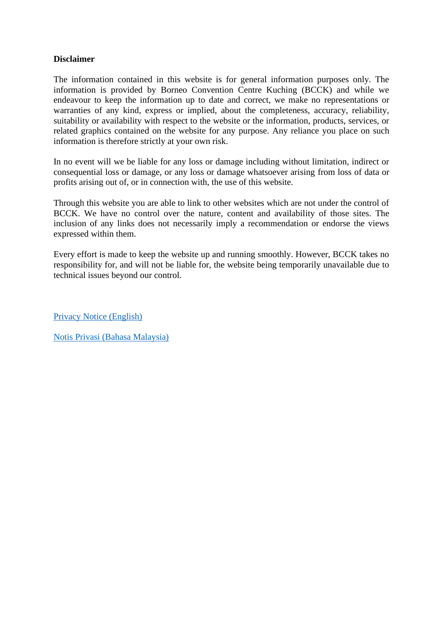# **Disclaimer**

The information contained in this website is for general information purposes only. The information is provided by Borneo Convention Centre Kuching (BCCK) and while we endeavour to keep the information up to date and correct, we make no representations or warranties of any kind, express or implied, about the completeness, accuracy, reliability, suitability or availability with respect to the website or the information, products, services, or related graphics contained on the website for any purpose. Any reliance you place on such information is therefore strictly at your own risk.

In no event will we be liable for any loss or damage including without limitation, indirect or consequential loss or damage, or any loss or damage whatsoever arising from loss of data or profits arising out of, or in connection with, the use of this website.

Through this website you are able to link to other websites which are not under the control of BCCK. We have no control over the nature, content and availability of those sites. The inclusion of any links does not necessarily imply a recommendation or endorse the views expressed within them.

Every effort is made to keep the website up and running smoothly. However, BCCK takes no responsibility for, and will not be liable for, the website being temporarily unavailable due to technical issues beyond our control.

[Privacy Notice \(English\)](#page-1-0)

[Notis Privasi \(Bahasa Malaysia\)](#page-5-0)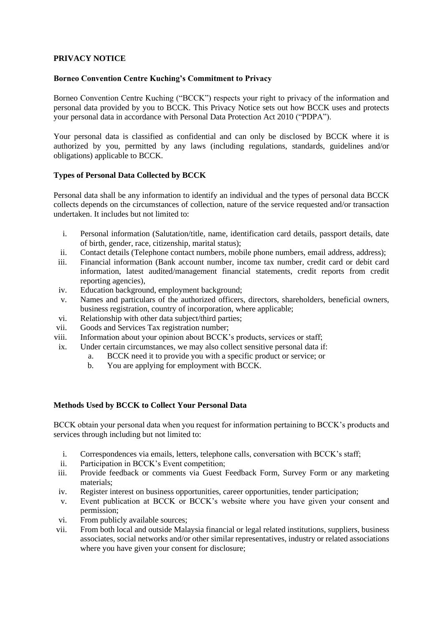## <span id="page-1-0"></span>**PRIVACY NOTICE**

### **Borneo Convention Centre Kuching's Commitment to Privacy**

Borneo Convention Centre Kuching ("BCCK") respects your right to privacy of the information and personal data provided by you to BCCK. This Privacy Notice sets out how BCCK uses and protects your personal data in accordance with Personal Data Protection Act 2010 ("PDPA").

Your personal data is classified as confidential and can only be disclosed by BCCK where it is authorized by you, permitted by any laws (including regulations, standards, guidelines and/or obligations) applicable to BCCK.

## **Types of Personal Data Collected by BCCK**

Personal data shall be any information to identify an individual and the types of personal data BCCK collects depends on the circumstances of collection, nature of the service requested and/or transaction undertaken. It includes but not limited to:

- i. Personal information (Salutation/title, name, identification card details, passport details, date of birth, gender, race, citizenship, marital status);
- ii. Contact details (Telephone contact numbers, mobile phone numbers, email address, address);
- iii. Financial information (Bank account number, income tax number, credit card or debit card information, latest audited/management financial statements, credit reports from credit reporting agencies),
- iv. Education background, employment background;
- v. Names and particulars of the authorized officers, directors, shareholders, beneficial owners, business registration, country of incorporation, where applicable;
- vi. Relationship with other data subject/third parties;
- vii. Goods and Services Tax registration number;
- viii. Information about your opinion about BCCK's products, services or staff;
- ix. Under certain circumstances, we may also collect sensitive personal data if:
	- a. BCCK need it to provide you with a specific product or service; or
	- b. You are applying for employment with BCCK.

### **Methods Used by BCCK to Collect Your Personal Data**

BCCK obtain your personal data when you request for information pertaining to BCCK's products and services through including but not limited to:

- i. Correspondences via emails, letters, telephone calls, conversation with BCCK's staff;
- ii. Participation in BCCK's Event competition;
- iii. Provide feedback or comments via Guest Feedback Form, Survey Form or any marketing materials;
- iv. Register interest on business opportunities, career opportunities, tender participation;
- v. Event publication at BCCK or BCCK's website where you have given your consent and permission;
- vi. From publicly available sources;
- vii. From both local and outside Malaysia financial or legal related institutions, suppliers, business associates, social networks and/or other similar representatives, industry or related associations where you have given your consent for disclosure;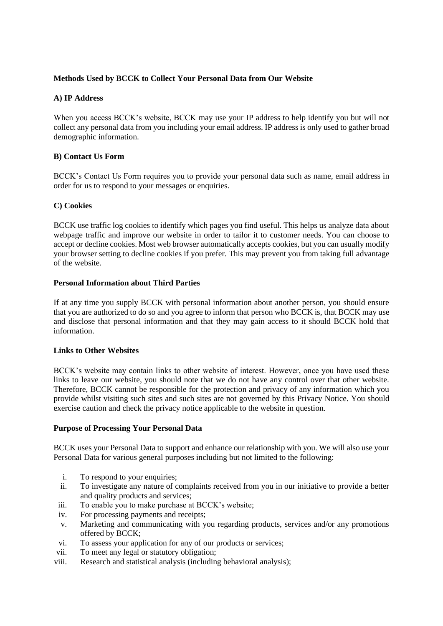# **Methods Used by BCCK to Collect Your Personal Data from Our Website**

# **A) IP Address**

When you access BCCK's website, BCCK may use your IP address to help identify you but will not collect any personal data from you including your email address. IP address is only used to gather broad demographic information.

## **B) Contact Us Form**

BCCK's Contact Us Form requires you to provide your personal data such as name, email address in order for us to respond to your messages or enquiries.

## **C) Cookies**

BCCK use traffic log cookies to identify which pages you find useful. This helps us analyze data about webpage traffic and improve our website in order to tailor it to customer needs. You can choose to accept or decline cookies. Most web browser automatically accepts cookies, but you can usually modify your browser setting to decline cookies if you prefer. This may prevent you from taking full advantage of the website.

### **Personal Information about Third Parties**

If at any time you supply BCCK with personal information about another person, you should ensure that you are authorized to do so and you agree to inform that person who BCCK is, that BCCK may use and disclose that personal information and that they may gain access to it should BCCK hold that information.

### **Links to Other Websites**

BCCK's website may contain links to other website of interest. However, once you have used these links to leave our website, you should note that we do not have any control over that other website. Therefore, BCCK cannot be responsible for the protection and privacy of any information which you provide whilst visiting such sites and such sites are not governed by this Privacy Notice. You should exercise caution and check the privacy notice applicable to the website in question.

## **Purpose of Processing Your Personal Data**

BCCK uses your Personal Data to support and enhance our relationship with you. We will also use your Personal Data for various general purposes including but not limited to the following:

- i. To respond to your enquiries:
- ii. To investigate any nature of complaints received from you in our initiative to provide a better and quality products and services;
- iii. To enable you to make purchase at BCCK's website;
- iv. For processing payments and receipts;
- v. Marketing and communicating with you regarding products, services and/or any promotions offered by BCCK;
- vi. To assess your application for any of our products or services;
- vii. To meet any legal or statutory obligation;
- viii. Research and statistical analysis (including behavioral analysis);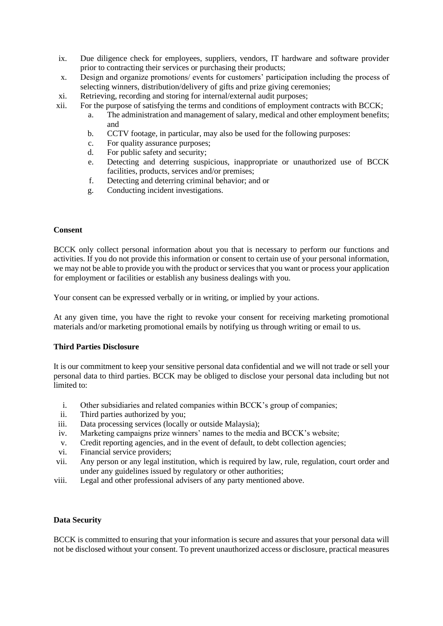- ix. Due diligence check for employees, suppliers, vendors, IT hardware and software provider prior to contracting their services or purchasing their products;
- x. Design and organize promotions/ events for customers' participation including the process of selecting winners, distribution/delivery of gifts and prize giving ceremonies;
- xi. Retrieving, recording and storing for internal/external audit purposes;
- xii. For the purpose of satisfying the terms and conditions of employment contracts with BCCK;
	- a. The administration and management of salary, medical and other employment benefits; and
	- b. CCTV footage, in particular, may also be used for the following purposes:
	- c. For quality assurance purposes;
	- d. For public safety and security;
	- e. Detecting and deterring suspicious, inappropriate or unauthorized use of BCCK facilities, products, services and/or premises;
	- f. Detecting and deterring criminal behavior; and or
	- g. Conducting incident investigations.

### **Consent**

BCCK only collect personal information about you that is necessary to perform our functions and activities. If you do not provide this information or consent to certain use of your personal information, we may not be able to provide you with the product or services that you want or process your application for employment or facilities or establish any business dealings with you.

Your consent can be expressed verbally or in writing, or implied by your actions.

At any given time, you have the right to revoke your consent for receiving marketing promotional materials and/or marketing promotional emails by notifying us through writing or email to us.

### **Third Parties Disclosure**

It is our commitment to keep your sensitive personal data confidential and we will not trade or sell your personal data to third parties. BCCK may be obliged to disclose your personal data including but not limited to:

- i. Other subsidiaries and related companies within BCCK's group of companies;
- ii. Third parties authorized by you;
- iii. Data processing services (locally or outside Malaysia);
- iv. Marketing campaigns prize winners' names to the media and BCCK's website;
- v. Credit reporting agencies, and in the event of default, to debt collection agencies;
- vi. Financial service providers;
- vii. Any person or any legal institution, which is required by law, rule, regulation, court order and under any guidelines issued by regulatory or other authorities;
- viii. Legal and other professional advisers of any party mentioned above.

### **Data Security**

BCCK is committed to ensuring that your information is secure and assures that your personal data will not be disclosed without your consent. To prevent unauthorized access or disclosure, practical measures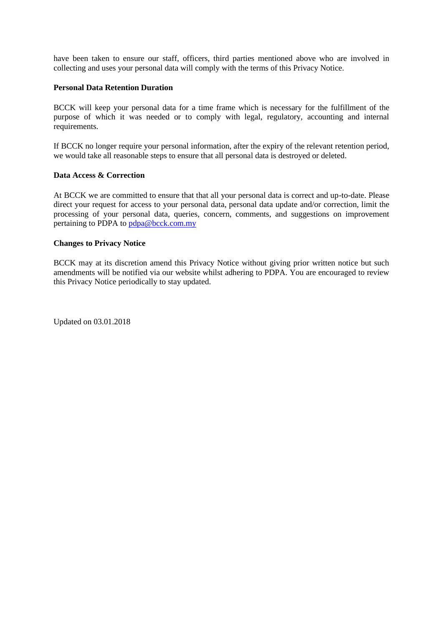have been taken to ensure our staff, officers, third parties mentioned above who are involved in collecting and uses your personal data will comply with the terms of this Privacy Notice.

#### **Personal Data Retention Duration**

BCCK will keep your personal data for a time frame which is necessary for the fulfillment of the purpose of which it was needed or to comply with legal, regulatory, accounting and internal requirements.

If BCCK no longer require your personal information, after the expiry of the relevant retention period, we would take all reasonable steps to ensure that all personal data is destroyed or deleted.

#### **Data Access & Correction**

At BCCK we are committed to ensure that that all your personal data is correct and up-to-date. Please direct your request for access to your personal data, personal data update and/or correction, limit the processing of your personal data, queries, concern, comments, and suggestions on improvement pertaining to PDPA to [pdpa@bcck.com.my](mailto:pdpa@bcck.com.my)

#### **Changes to Privacy Notice**

BCCK may at its discretion amend this Privacy Notice without giving prior written notice but such amendments will be notified via our website whilst adhering to PDPA. You are encouraged to review this Privacy Notice periodically to stay updated.

Updated on 03.01.2018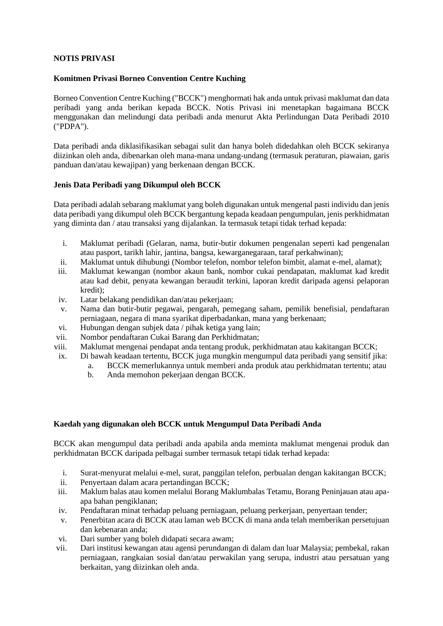## <span id="page-5-0"></span>**NOTIS PRIVASI**

### **Komitmen Privasi Borneo Convention Centre Kuching**

Borneo Convention Centre Kuching ("BCCK") menghormati hak anda untuk privasi maklumat dan data peribadi yang anda berikan kepada BCCK. Notis Privasi ini menetapkan bagaimana BCCK menggunakan dan melindungi data peribadi anda menurut Akta Perlindungan Data Peribadi 2010 ("PDPA").

Data peribadi anda diklasifikasikan sebagai sulit dan hanya boleh didedahkan oleh BCCK sekiranya diizinkan oleh anda, dibenarkan oleh mana-mana undang-undang (termasuk peraturan, piawaian, garis panduan dan/atau kewajipan) yang berkenaan dengan BCCK.

### **Jenis Data Peribadi yang Dikumpul oleh BCCK**

Data peribadi adalah sebarang maklumat yang boleh digunakan untuk mengenal pasti individu dan jenis data peribadi yang dikumpul oleh BCCK bergantung kepada keadaan pengumpulan, jenis perkhidmatan yang diminta dan / atau transaksi yang dijalankan. Ia termasuk tetapi tidak terhad kepada:

- i. Maklumat peribadi (Gelaran, nama, butir-butir dokumen pengenalan seperti kad pengenalan atau pasport, tarikh lahir, jantina, bangsa, kewarganegaraan, taraf perkahwinan);
- ii. Maklumat untuk dihubungi (Nombor telefon, nombor telefon bimbit, alamat e-mel, alamat);
- iii. Maklumat kewangan (nombor akaun bank, nombor cukai pendapatan, maklumat kad kredit atau kad debit, penyata kewangan beraudit terkini, laporan kredit daripada agensi pelaporan kredit);
- iv. Latar belakang pendidikan dan/atau pekerjaan;
- v. Nama dan butir-butir pegawai, pengarah, pemegang saham, pemilik benefisial, pendaftaran perniagaan, negara di mana syarikat diperbadankan, mana yang berkenaan;
- vi. Hubungan dengan subjek data / pihak ketiga yang lain;
- vii. Nombor pendaftaran Cukai Barang dan Perkhidmatan;
- viii. Maklumat mengenai pendapat anda tentang produk, perkhidmatan atau kakitangan BCCK;
- ix. Di bawah keadaan tertentu, BCCK juga mungkin mengumpul data peribadi yang sensitif jika:
	- a. BCCK memerlukannya untuk memberi anda produk atau perkhidmatan tertentu; atau
	- b. Anda memohon pekerjaan dengan BCCK.

### **Kaedah yang digunakan oleh BCCK untuk Mengumpul Data Peribadi Anda**

BCCK akan mengumpul data peribadi anda apabila anda meminta maklumat mengenai produk dan perkhidmatan BCCK daripada pelbagai sumber termasuk tetapi tidak terhad kepada:

- i. Surat-menyurat melalui e-mel, surat, panggilan telefon, perbualan dengan kakitangan BCCK;
- ii. Penyertaan dalam acara pertandingan BCCK;
- iii. Maklum balas atau komen melalui Borang Maklumbalas Tetamu, Borang Peninjauan atau apaapa bahan pengiklanan;
- iv. Pendaftaran minat terhadap peluang perniagaan, peluang perkerjaan, penyertaan tender;
- v. Penerbitan acara di BCCK atau laman web BCCK di mana anda telah memberikan persetujuan dan kebenaran anda;
- vi. Dari sumber yang boleh didapati secara awam;
- vii. Dari institusi kewangan atau agensi perundangan di dalam dan luar Malaysia; pembekal, rakan perniagaan, rangkaian sosial dan/atau perwakilan yang serupa, industri atau persatuan yang berkaitan, yang diizinkan oleh anda.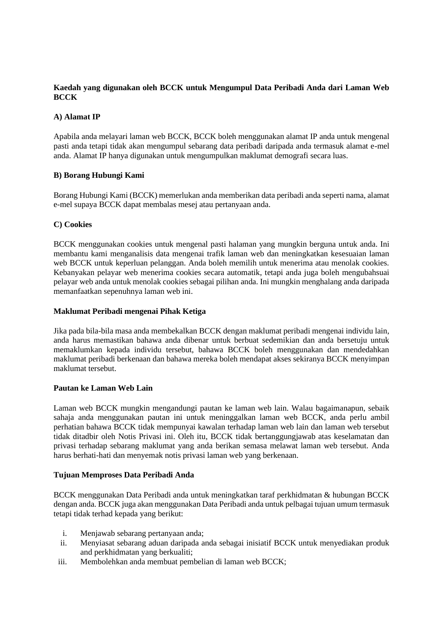# **Kaedah yang digunakan oleh BCCK untuk Mengumpul Data Peribadi Anda dari Laman Web BCCK**

# **A) Alamat IP**

Apabila anda melayari laman web BCCK, BCCK boleh menggunakan alamat IP anda untuk mengenal pasti anda tetapi tidak akan mengumpul sebarang data peribadi daripada anda termasuk alamat e-mel anda. Alamat IP hanya digunakan untuk mengumpulkan maklumat demografi secara luas.

## **B) Borang Hubungi Kami**

Borang Hubungi Kami (BCCK) memerlukan anda memberikan data peribadi anda seperti nama, alamat e-mel supaya BCCK dapat membalas mesej atau pertanyaan anda.

## **C) Cookies**

BCCK menggunakan cookies untuk mengenal pasti halaman yang mungkin berguna untuk anda. Ini membantu kami menganalisis data mengenai trafik laman web dan meningkatkan kesesuaian laman web BCCK untuk keperluan pelanggan. Anda boleh memilih untuk menerima atau menolak cookies. Kebanyakan pelayar web menerima cookies secara automatik, tetapi anda juga boleh mengubahsuai pelayar web anda untuk menolak cookies sebagai pilihan anda. Ini mungkin menghalang anda daripada memanfaatkan sepenuhnya laman web ini.

### **Maklumat Peribadi mengenai Pihak Ketiga**

Jika pada bila-bila masa anda membekalkan BCCK dengan maklumat peribadi mengenai individu lain, anda harus memastikan bahawa anda dibenar untuk berbuat sedemikian dan anda bersetuju untuk memaklumkan kepada individu tersebut, bahawa BCCK boleh menggunakan dan mendedahkan maklumat peribadi berkenaan dan bahawa mereka boleh mendapat akses sekiranya BCCK menyimpan maklumat tersebut.

### **Pautan ke Laman Web Lain**

Laman web BCCK mungkin mengandungi pautan ke laman web lain. Walau bagaimanapun, sebaik sahaja anda menggunakan pautan ini untuk meninggalkan laman web BCCK, anda perlu ambil perhatian bahawa BCCK tidak mempunyai kawalan terhadap laman web lain dan laman web tersebut tidak ditadbir oleh Notis Privasi ini. Oleh itu, BCCK tidak bertanggungjawab atas keselamatan dan privasi terhadap sebarang maklumat yang anda berikan semasa melawat laman web tersebut. Anda harus berhati-hati dan menyemak notis privasi laman web yang berkenaan.

### **Tujuan Memproses Data Peribadi Anda**

BCCK menggunakan Data Peribadi anda untuk meningkatkan taraf perkhidmatan & hubungan BCCK dengan anda. BCCK juga akan menggunakan Data Peribadi anda untuk pelbagai tujuan umum termasuk tetapi tidak terhad kepada yang berikut:

- i. Menjawab sebarang pertanyaan anda;
- ii. Menyiasat sebarang aduan daripada anda sebagai inisiatif BCCK untuk menyediakan produk and perkhidmatan yang berkualiti;
- iii. Membolehkan anda membuat pembelian di laman web BCCK;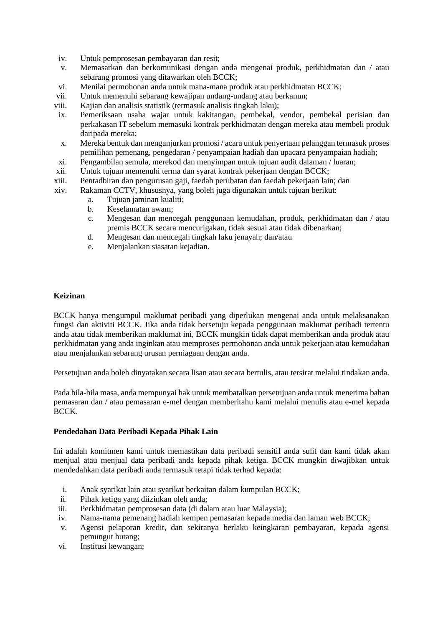- iv. Untuk pemprosesan pembayaran dan resit;
- v. Memasarkan dan berkomunikasi dengan anda mengenai produk, perkhidmatan dan / atau sebarang promosi yang ditawarkan oleh BCCK;
- vi. Menilai permohonan anda untuk mana-mana produk atau perkhidmatan BCCK;
- vii. Untuk memenuhi sebarang kewajipan undang-undang atau berkanun;
- viii. Kajian dan analisis statistik (termasuk analisis tingkah laku);
- ix. Pemeriksaan usaha wajar untuk kakitangan, pembekal, vendor, pembekal perisian dan perkakasan IT sebelum memasuki kontrak perkhidmatan dengan mereka atau membeli produk daripada mereka;
- x. Mereka bentuk dan menganjurkan promosi / acara untuk penyertaan pelanggan termasuk proses pemilihan pemenang, pengedaran / penyampaian hadiah dan upacara penyampaian hadiah;
- xi. Pengambilan semula, merekod dan menyimpan untuk tujuan audit dalaman / luaran;
- xii. Untuk tujuan memenuhi terma dan syarat kontrak pekerjaan dengan BCCK;
- xiii. Pentadbiran dan pengurusan gaji, faedah perubatan dan faedah pekerjaan lain; dan
- xiv. Rakaman CCTV, khususnya, yang boleh juga digunakan untuk tujuan berikut:
	- a. Tujuan jaminan kualiti;
	- b. Keselamatan awam;
	- c. Mengesan dan mencegah penggunaan kemudahan, produk, perkhidmatan dan / atau premis BCCK secara mencurigakan, tidak sesuai atau tidak dibenarkan;
	- d. Mengesan dan mencegah tingkah laku jenayah; dan/atau
	- e. Menjalankan siasatan kejadian.

### **Keizinan**

BCCK hanya mengumpul maklumat peribadi yang diperlukan mengenai anda untuk melaksanakan fungsi dan aktiviti BCCK. Jika anda tidak bersetuju kepada penggunaan maklumat peribadi tertentu anda atau tidak memberikan maklumat ini, BCCK mungkin tidak dapat memberikan anda produk atau perkhidmatan yang anda inginkan atau memproses permohonan anda untuk pekerjaan atau kemudahan atau menjalankan sebarang urusan perniagaan dengan anda.

Persetujuan anda boleh dinyatakan secara lisan atau secara bertulis, atau tersirat melalui tindakan anda.

Pada bila-bila masa, anda mempunyai hak untuk membatalkan persetujuan anda untuk menerima bahan pemasaran dan / atau pemasaran e-mel dengan memberitahu kami melalui menulis atau e-mel kepada BCCK.

### **Pendedahan Data Peribadi Kepada Pihak Lain**

Ini adalah komitmen kami untuk memastikan data peribadi sensitif anda sulit dan kami tidak akan menjual atau menjual data peribadi anda kepada pihak ketiga. BCCK mungkin diwajibkan untuk mendedahkan data peribadi anda termasuk tetapi tidak terhad kepada:

- i. Anak syarikat lain atau syarikat berkaitan dalam kumpulan BCCK;
- ii. Pihak ketiga yang diizinkan oleh anda;
- iii. Perkhidmatan pemprosesan data (di dalam atau luar Malaysia);
- iv. Nama-nama pemenang hadiah kempen pemasaran kepada media dan laman web BCCK;
- v. Agensi pelaporan kredit, dan sekiranya berlaku keingkaran pembayaran, kepada agensi pemungut hutang;
- vi. Institusi kewangan;